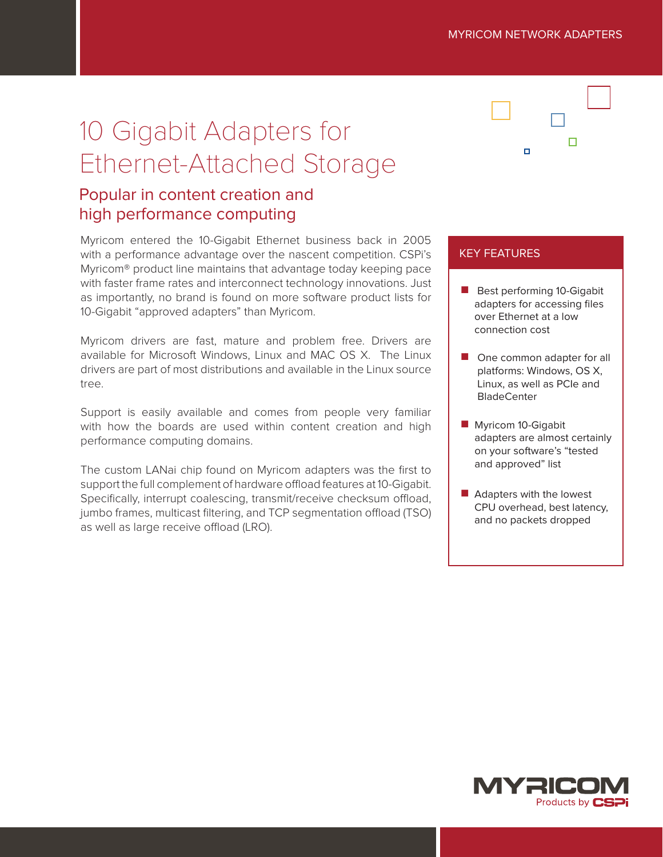П

# 10 Gigabit Adapters for Ethernet-Attached Storage

# Popular in content creation and high performance computing

Myricom entered the 10-Gigabit Ethernet business back in 2005 with a performance advantage over the nascent competition. CSPi's Myricom® product line maintains that advantage today keeping pace with faster frame rates and interconnect technology innovations. Just as importantly, no brand is found on more software product lists for 10-Gigabit "approved adapters" than Myricom.

Myricom drivers are fast, mature and problem free. Drivers are available for Microsoft Windows, Linux and MAC OS X. The Linux drivers are part of most distributions and available in the Linux source tree.

Support is easily available and comes from people very familiar with how the boards are used within content creation and high performance computing domains.

The custom LANai chip found on Myricom adapters was the first to support the full complement of hardware offload features at 10-Gigabit. Specifically, interrupt coalescing, transmit/receive checksum offload, jumbo frames, multicast filtering, and TCP segmentation offload (TSO) as well as large receive offload (LRO).

 $\blacksquare$ 

### KEY FEATURES

- Best performing 10-Gigabit adapters for accessing files over Ethernet at a low connection cost
- One common adapter for all platforms: Windows, OS X, Linux, as well as PCIe and **BladeCenter**
- **Myricom 10-Gigabit** adapters are almost certainly on your software's "tested and approved" list
- **Adapters with the lowest** CPU overhead, best latency, and no packets dropped